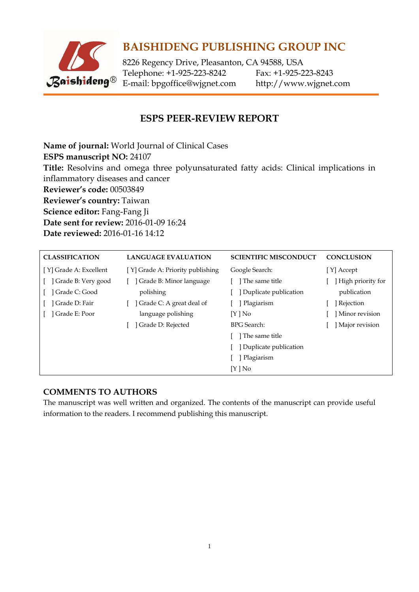

8226 Regency Drive, Pleasanton, CA 94588, USA Telephone: +1-925-223-8242 Fax: +1-925-223-8243 E-mail: [bpgoffice@wjgnet.com](mailto:bpgoffice@wjgnet.com) http://www.wjgnet.com

### **ESPS PEER-REVIEW REPORT**

**Name of journal:** World Journal of Clinical Cases **ESPS manuscript NO:** 24107 **Title:** Resolvins and omega three polyunsaturated fatty acids: Clinical implications in inflammatory diseases and cancer **Reviewer's code:** 00503849 **Reviewer's country:** Taiwan **Science editor:** Fang-Fang Ji **Date sent for review:** 2016-01-09 16:24 **Date reviewed:** 2016-01-16 14:12

| <b>CLASSIFICATION</b>  | <b>LANGUAGE EVALUATION</b>       | <b>SCIENTIFIC MISCONDUCT</b> | <b>CONCLUSION</b> |
|------------------------|----------------------------------|------------------------------|-------------------|
| [Y] Grade A: Excellent | [Y] Grade A: Priority publishing | Google Search:               | [Y] Accept        |
| Grade B: Very good     | Grade B: Minor language          | The same title               | High priority for |
| Grade C: Good          | polishing                        | Duplicate publication        | publication       |
| Grade D: Fair          | Grade C: A great deal of         | Plagiarism                   | ] Rejection       |
| Grade E: Poor          | language polishing               | [Y ] No                      | Minor revision    |
|                        | Grade D: Rejected                | <b>BPG</b> Search:           | Major revision    |
|                        |                                  | The same title               |                   |
|                        |                                  | Duplicate publication        |                   |
|                        |                                  | Plagiarism                   |                   |
|                        |                                  | $[Y]$ No                     |                   |

#### **COMMENTS TO AUTHORS**

The manuscript was well written and organized. The contents of the manuscript can provide useful information to the readers. I recommend publishing this manuscript.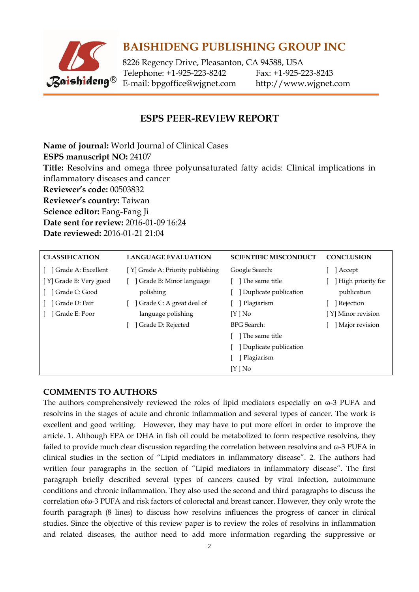

8226 Regency Drive, Pleasanton, CA 94588, USA Telephone: +1-925-223-8242 Fax: +1-925-223-8243 E-mail: [bpgoffice@wjgnet.com](mailto:bpgoffice@wjgnet.com) http://www.wjgnet.com

### **ESPS PEER-REVIEW REPORT**

**Name of journal:** World Journal of Clinical Cases **ESPS manuscript NO:** 24107 **Title:** Resolvins and omega three polyunsaturated fatty acids: Clinical implications in inflammatory diseases and cancer **Reviewer's code:** 00503832 **Reviewer's country:** Taiwan **Science editor:** Fang-Fang Ji **Date sent for review:** 2016-01-09 16:24 **Date reviewed:** 2016-01-21 21:04

| <b>CLASSIFICATION</b>  | <b>LANGUAGE EVALUATION</b>       | <b>SCIENTIFIC MISCONDUCT</b> | <b>CONCLUSION</b>  |
|------------------------|----------------------------------|------------------------------|--------------------|
| ] Grade A: Excellent   | [Y] Grade A: Priority publishing | Google Search:               | Accept             |
| [Y] Grade B: Very good | Grade B: Minor language          | The same title               | High priority for  |
| ] Grade C: Good        | polishing                        | Duplicate publication        | publication        |
| Grade D: Fair          | Grade C: A great deal of         | Plagiarism                   | Rejection          |
| Grade E: Poor          | language polishing               | [Y ] No                      | [Y] Minor revision |
|                        | Grade D: Rejected                | <b>BPG</b> Search:           | Major revision     |
|                        |                                  | l The same title             |                    |
|                        |                                  | Duplicate publication        |                    |
|                        |                                  | Plagiarism                   |                    |
|                        |                                  | $[Y]$ No                     |                    |

#### **COMMENTS TO AUTHORS**

The authors comprehensively reviewed the roles of lipid mediators especially on ω-3 PUFA and resolvins in the stages of acute and chronic inflammation and several types of cancer. The work is excellent and good writing. However, they may have to put more effort in order to improve the article. 1. Although EPA or DHA in fish oil could be metabolized to form respective resolvins, they failed to provide much clear discussion regarding the correlation between resolvins and ω-3 PUFA in clinical studies in the section of "Lipid mediators in inflammatory disease". 2. The authors had written four paragraphs in the section of "Lipid mediators in inflammatory disease". The first paragraph briefly described several types of cancers caused by viral infection, autoimmune conditions and chronic inflammation. They also used the second and third paragraphs to discuss the correlation ofω-3 PUFA and risk factors of colorectal and breast cancer. However, they only wrote the fourth paragraph (8 lines) to discuss how resolvins influences the progress of cancer in clinical studies. Since the objective of this review paper is to review the roles of resolvins in inflammation and related diseases, the author need to add more information regarding the suppressive or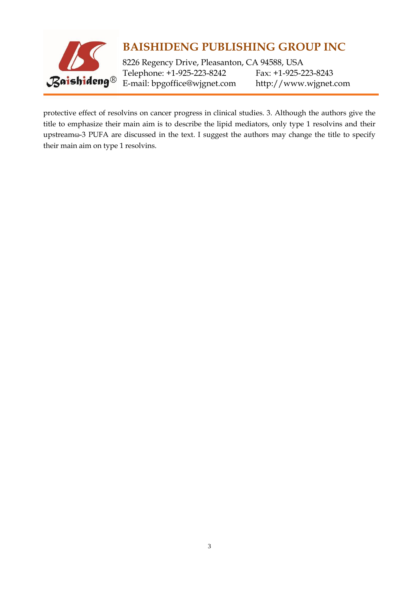

8226 Regency Drive, Pleasanton, CA 94588, USA Telephone: +1-925-223-8242 Fax: +1-925-223-8243 E-mail: [bpgoffice@wjgnet.com](mailto:bpgoffice@wjgnet.com) http://www.wjgnet.com

protective effect of resolvins on cancer progress in clinical studies. 3. Although the authors give the title to emphasize their main aim is to describe the lipid mediators, only type 1 resolvins and their upstream $\omega$ -3 PUFA are discussed in the text. I suggest the authors may change the title to specify their main aim on type 1 resolvins.